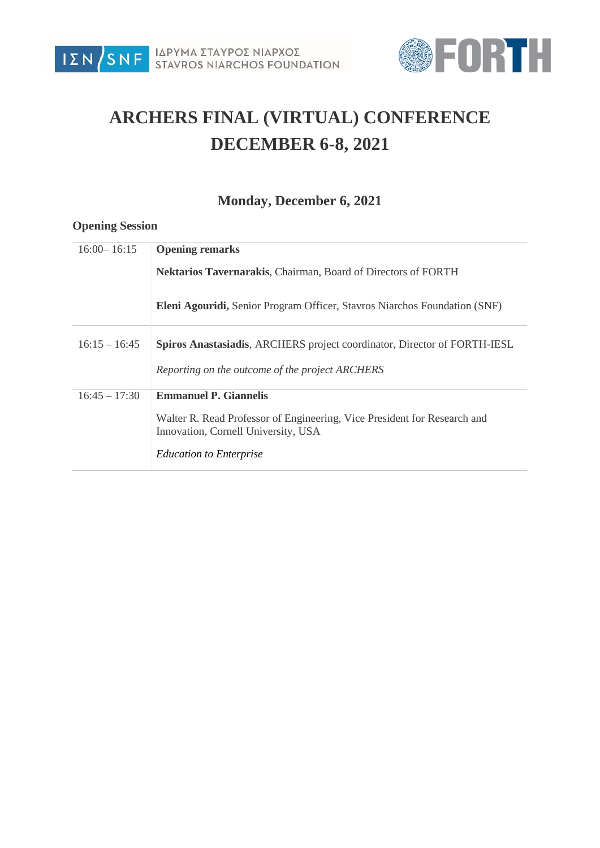



# **ARCHERS FINAL (VIRTUAL) CONFERENCE DECEMBER 6-8, 2021**

## **Monday, December 6, 2021**

#### **Opening Session**

| $16:00 - 16:15$ | <b>Opening remarks</b>                                                                                          |
|-----------------|-----------------------------------------------------------------------------------------------------------------|
|                 | Nektarios Tavernarakis, Chairman, Board of Directors of FORTH                                                   |
|                 | <b>Eleni Agouridi, Senior Program Officer, Stavros Niarchos Foundation (SNF)</b>                                |
| $16:15 - 16:45$ | <b>Spiros Anastasiadis, ARCHERS</b> project coordinator, Director of FORTH-IESL                                 |
|                 | Reporting on the outcome of the project ARCHERS                                                                 |
| $16:45 - 17:30$ | <b>Emmanuel P. Giannelis</b>                                                                                    |
|                 | Walter R. Read Professor of Engineering, Vice President for Research and<br>Innovation, Cornell University, USA |
|                 | <b>Education to Enterprise</b>                                                                                  |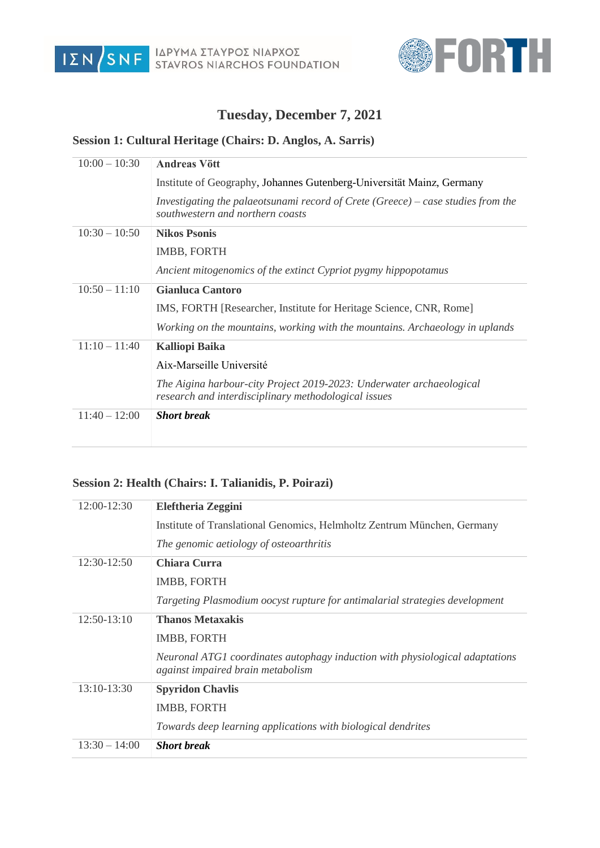



## **Tuesday, December 7, 2021**

#### **Session 1: Cultural Heritage (Chairs: D. Anglos, A. Sarris)**

| $10:00 - 10:30$ | <b>Andreas Vött</b>                                                                                                          |
|-----------------|------------------------------------------------------------------------------------------------------------------------------|
|                 | Institute of Geography, Johannes Gutenberg-Universität Mainz, Germany                                                        |
|                 | Investigating the palaeotsunami record of Crete (Greece) – case studies from the<br>southwestern and northern coasts         |
| $10:30 - 10:50$ | <b>Nikos Psonis</b>                                                                                                          |
|                 | IMBB, FORTH                                                                                                                  |
|                 | Ancient mitogenomics of the extinct Cypriot pygmy hippopotamus                                                               |
| $10:50 - 11:10$ | <b>Gianluca Cantoro</b>                                                                                                      |
|                 | IMS, FORTH [Researcher, Institute for Heritage Science, CNR, Rome]                                                           |
|                 | Working on the mountains, working with the mountains. Archaeology in uplands                                                 |
| $11:10 - 11:40$ | <b>Kalliopi Baika</b>                                                                                                        |
|                 | Aix-Marseille Université                                                                                                     |
|                 | The Aigina harbour-city Project 2019-2023: Underwater archaeological<br>research and interdisciplinary methodological issues |
| $11:40 - 12:00$ | <b>Short break</b>                                                                                                           |

#### **Session 2: Health (Chairs: I. Talianidis, P. Poirazi)**

| 12:00-12:30     | <b>Eleftheria Zeggini</b>                                                                                         |
|-----------------|-------------------------------------------------------------------------------------------------------------------|
|                 | Institute of Translational Genomics, Helmholtz Zentrum München, Germany                                           |
|                 | The genomic aetiology of osteoarthritis                                                                           |
| 12:30-12:50     | Chiara Curra                                                                                                      |
|                 | IMBB, FORTH                                                                                                       |
|                 | Targeting Plasmodium oocyst rupture for antimalarial strategies development                                       |
| 12:50-13:10     | <b>Thanos Metaxakis</b>                                                                                           |
|                 | IMBB, FORTH                                                                                                       |
|                 | Neuronal ATG1 coordinates autophagy induction with physiological adaptations<br>against impaired brain metabolism |
| 13:10-13:30     | <b>Spyridon Chavlis</b>                                                                                           |
|                 | IMBB, FORTH                                                                                                       |
|                 | Towards deep learning applications with biological dendrites                                                      |
| $13:30 - 14:00$ | <b>Short break</b>                                                                                                |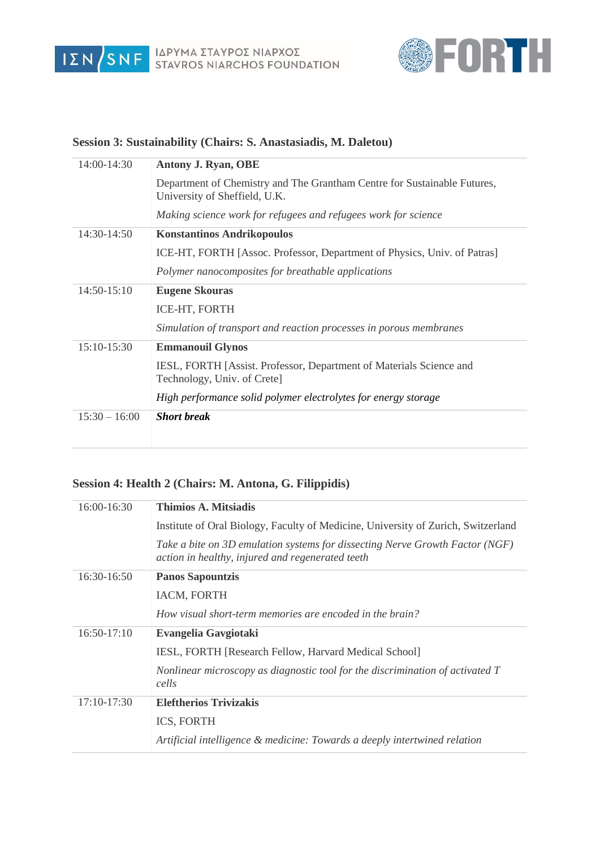



## 14:00-14:30 **Antony J. Ryan, OBE** Department of Chemistry and The Grantham Centre for Sustainable Futures, University of Sheffield, U.K. *Making science work for refugees and refugees work for science* 14:30-14:50 **Konstantinos Andrikopoulos** ICE-HT, FORTH [Assoc. Professor, Department of Physics, Univ. of Patras] *Polymer nanocomposites for breathable applications* 14:50-15:10 **Eugene Skouras** ICE-HT, FORTH *Simulation of transport and reaction processes in porous membranes* 15:10-15:30 **Emmanouil Glynos** IESL, FORTH [Assist. Professor, Department of Materials Science and Technology, Univ. of Crete] *High performance solid polymer electrolytes for energy storage* 15:30 – 16:00 *Short break*

#### **Session 3: Sustainability (Chairs: S. Anastasiadis, M. Daletou)**

#### **Session 4: Health 2 (Chairs: M. Antona, G. Filippidis)**

| 16:00-16:30   | Thimios A. Mitsiadis                                                                                                             |
|---------------|----------------------------------------------------------------------------------------------------------------------------------|
|               | Institute of Oral Biology, Faculty of Medicine, University of Zurich, Switzerland                                                |
|               | Take a bite on 3D emulation systems for dissecting Nerve Growth Factor (NGF)<br>action in healthy, injured and regenerated teeth |
| 16:30-16:50   | <b>Panos Sapountzis</b>                                                                                                          |
|               | IACM, FORTH                                                                                                                      |
|               | How visual short-term memories are encoded in the brain?                                                                         |
| $16:50-17:10$ | Evangelia Gavgiotaki                                                                                                             |
|               | IESL, FORTH [Research Fellow, Harvard Medical School]                                                                            |
|               | Nonlinear microscopy as diagnostic tool for the discrimination of activated T<br>cells                                           |
| 17:10-17:30   | <b>Eleftherios Trivizakis</b>                                                                                                    |
|               | ICS, FORTH                                                                                                                       |
|               | Artificial intelligence & medicine: Towards a deeply intertwined relation                                                        |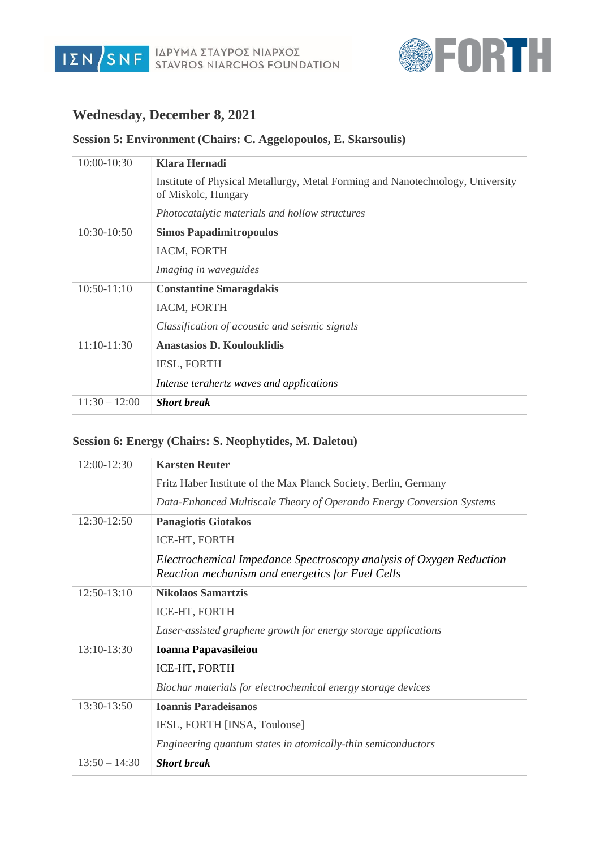



### **Wednesday, December 8, 2021**

#### **Session 5: Environment (Chairs: C. Aggelopoulos, E. Skarsoulis)**

| $10:00-10:30$   | Klara Hernadi                                                                                         |
|-----------------|-------------------------------------------------------------------------------------------------------|
|                 | Institute of Physical Metallurgy, Metal Forming and Nanotechnology, University<br>of Miskolc, Hungary |
|                 | Photocatalytic materials and hollow structures                                                        |
| $10:30-10:50$   | <b>Simos Papadimitropoulos</b>                                                                        |
|                 | IACM, FORTH                                                                                           |
|                 | <i>Imaging in waveguides</i>                                                                          |
| $10:50-11:10$   | <b>Constantine Smaragdakis</b>                                                                        |
|                 | IACM, FORTH                                                                                           |
|                 | Classification of acoustic and seismic signals                                                        |
| $11:10-11:30$   | <b>Anastasios D. Koulouklidis</b>                                                                     |
|                 | <b>IESL, FORTH</b>                                                                                    |
|                 | Intense terahertz waves and applications                                                              |
| $11:30 - 12:00$ | <b>Short break</b>                                                                                    |

#### **Session 6: Energy (Chairs: S. Neophytides, M. Daletou)**

| 12:00-12:30     | <b>Karsten Reuter</b>                                                                                                   |
|-----------------|-------------------------------------------------------------------------------------------------------------------------|
|                 | Fritz Haber Institute of the Max Planck Society, Berlin, Germany                                                        |
|                 | Data-Enhanced Multiscale Theory of Operando Energy Conversion Systems                                                   |
| 12:30-12:50     | <b>Panagiotis Giotakos</b>                                                                                              |
|                 | ICE-HT, FORTH                                                                                                           |
|                 | Electrochemical Impedance Spectroscopy analysis of Oxygen Reduction<br>Reaction mechanism and energetics for Fuel Cells |
| 12:50-13:10     | <b>Nikolaos Samartzis</b>                                                                                               |
|                 | ICE-HT, FORTH                                                                                                           |
|                 | Laser-assisted graphene growth for energy storage applications                                                          |
| 13:10-13:30     | <b>Ioanna Papavasileiou</b>                                                                                             |
|                 | ICE-HT, FORTH                                                                                                           |
|                 | Biochar materials for electrochemical energy storage devices                                                            |
| 13:30-13:50     | <b>Ioannis Paradeisanos</b>                                                                                             |
|                 | IESL, FORTH [INSA, Toulouse]                                                                                            |
|                 | Engineering quantum states in atomically-thin semiconductors                                                            |
| $13:50 - 14:30$ | <b>Short break</b>                                                                                                      |